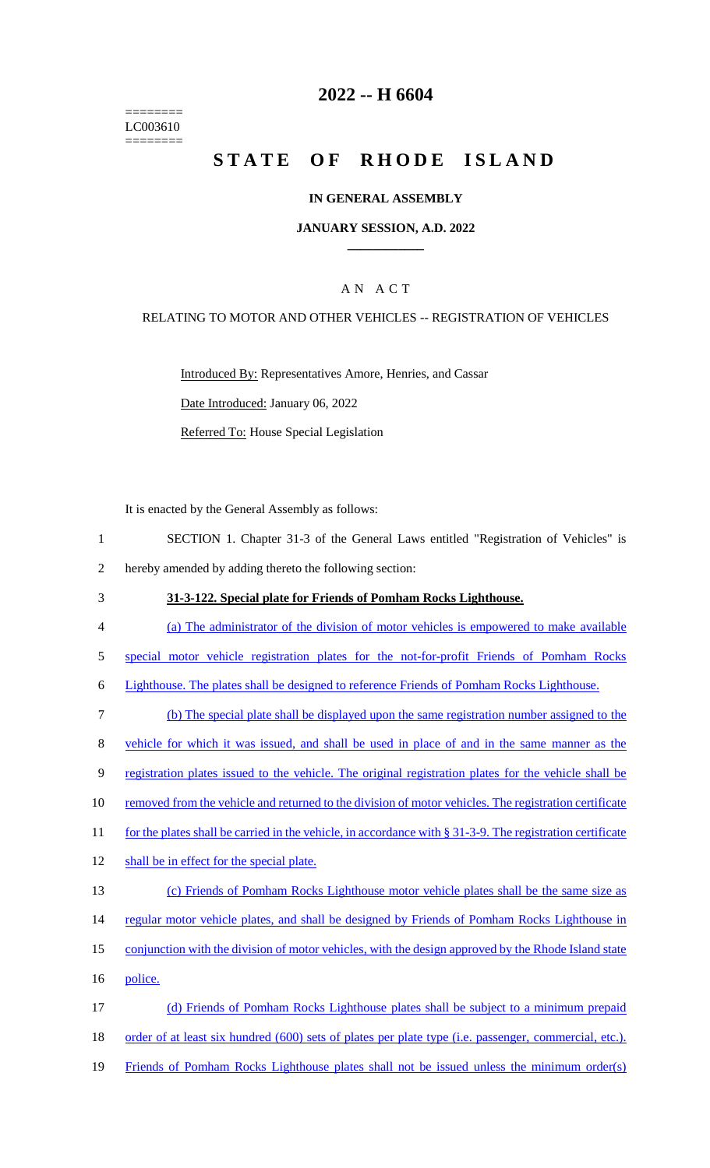======== LC003610 ========

## **2022 -- H 6604**

# **STATE OF RHODE ISLAND**

#### **IN GENERAL ASSEMBLY**

#### **JANUARY SESSION, A.D. 2022 \_\_\_\_\_\_\_\_\_\_\_\_**

### A N A C T

#### RELATING TO MOTOR AND OTHER VEHICLES -- REGISTRATION OF VEHICLES

Introduced By: Representatives Amore, Henries, and Cassar Date Introduced: January 06, 2022 Referred To: House Special Legislation

It is enacted by the General Assembly as follows:

- 1 SECTION 1. Chapter 31-3 of the General Laws entitled "Registration of Vehicles" is 2 hereby amended by adding thereto the following section:
- 3 **31-3-122. Special plate for Friends of Pomham Rocks Lighthouse.**
- 4 (a) The administrator of the division of motor vehicles is empowered to make available
- 5 special motor vehicle registration plates for the not-for-profit Friends of Pomham Rocks
- 6 Lighthouse. The plates shall be designed to reference Friends of Pomham Rocks Lighthouse.
- 7 (b) The special plate shall be displayed upon the same registration number assigned to the 8 vehicle for which it was issued, and shall be used in place of and in the same manner as the 9 registration plates issued to the vehicle. The original registration plates for the vehicle shall be 10 removed from the vehicle and returned to the division of motor vehicles. The registration certificate 11 for the plates shall be carried in the vehicle, in accordance with § 31-3-9. The registration certificate 12 shall be in effect for the special plate. 13 (c) Friends of Pomham Rocks Lighthouse motor vehicle plates shall be the same size as 14 regular motor vehicle plates, and shall be designed by Friends of Pomham Rocks Lighthouse in 15 conjunction with the division of motor vehicles, with the design approved by the Rhode Island state
- 16 police.
- 17 (d) Friends of Pomham Rocks Lighthouse plates shall be subject to a minimum prepaid 18 order of at least six hundred (600) sets of plates per plate type (i.e. passenger, commercial, etc.). 19 Friends of Pomham Rocks Lighthouse plates shall not be issued unless the minimum order(s)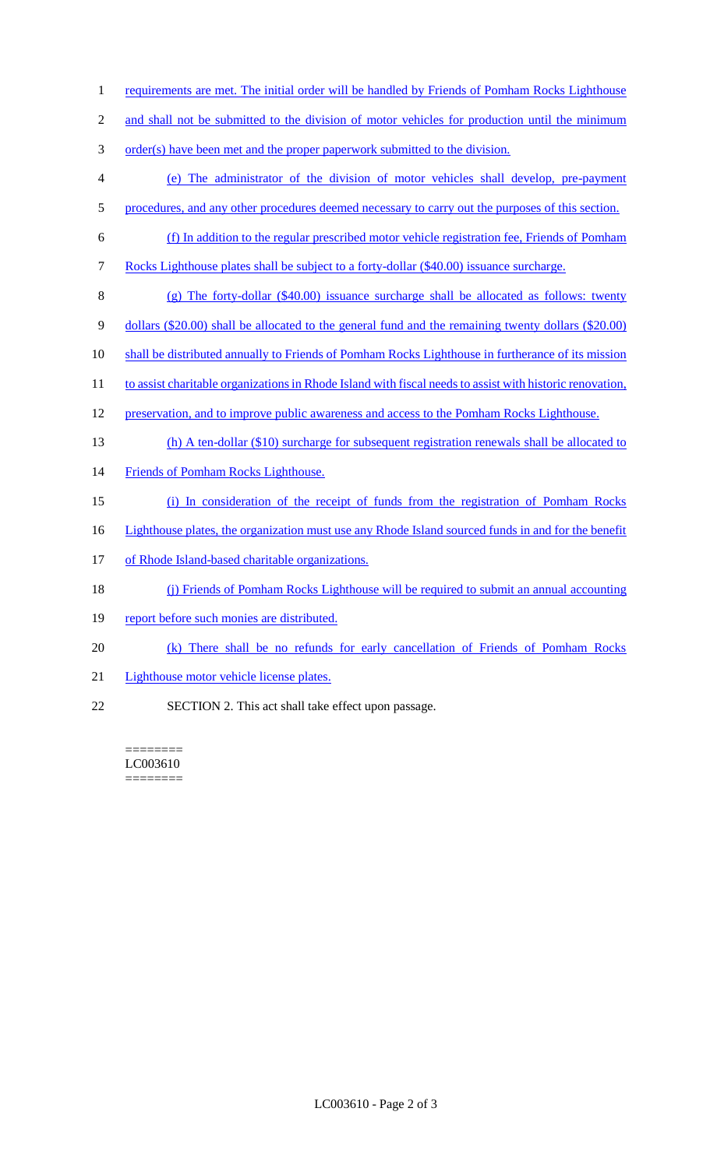- 1 requirements are met. The initial order will be handled by Friends of Pomham Rocks Lighthouse
- 2 and shall not be submitted to the division of motor vehicles for production until the minimum
- 3 order(s) have been met and the proper paperwork submitted to the division.
- 4 (e) The administrator of the division of motor vehicles shall develop, pre-payment 5 procedures, and any other procedures deemed necessary to carry out the purposes of this section.
- 6 (f) In addition to the regular prescribed motor vehicle registration fee, Friends of Pomham
- 7 Rocks Lighthouse plates shall be subject to a forty-dollar (\$40.00) issuance surcharge.
- 8 (g) The forty-dollar (\$40.00) issuance surcharge shall be allocated as follows: twenty
- 9 dollars (\$20.00) shall be allocated to the general fund and the remaining twenty dollars (\$20.00)
- 10 shall be distributed annually to Friends of Pomham Rocks Lighthouse in furtherance of its mission
- 11 to assist charitable organizations in Rhode Island with fiscal needs to assist with historic renovation,
- 12 preservation, and to improve public awareness and access to the Pomham Rocks Lighthouse.
- 13 (h) A ten-dollar (\$10) surcharge for subsequent registration renewals shall be allocated to
- 14 Friends of Pomham Rocks Lighthouse.
- 15 (i) In consideration of the receipt of funds from the registration of Pomham Rocks
- 16 Lighthouse plates, the organization must use any Rhode Island sourced funds in and for the benefit
- 17 of Rhode Island-based charitable organizations.
- 18 (j) Friends of Pomham Rocks Lighthouse will be required to submit an annual accounting
- 19 report before such monies are distributed.
- 20 (k) There shall be no refunds for early cancellation of Friends of Pomham Rocks
- 21 Lighthouse motor vehicle license plates.
- 22 SECTION 2. This act shall take effect upon passage.

======== LC003610 ========